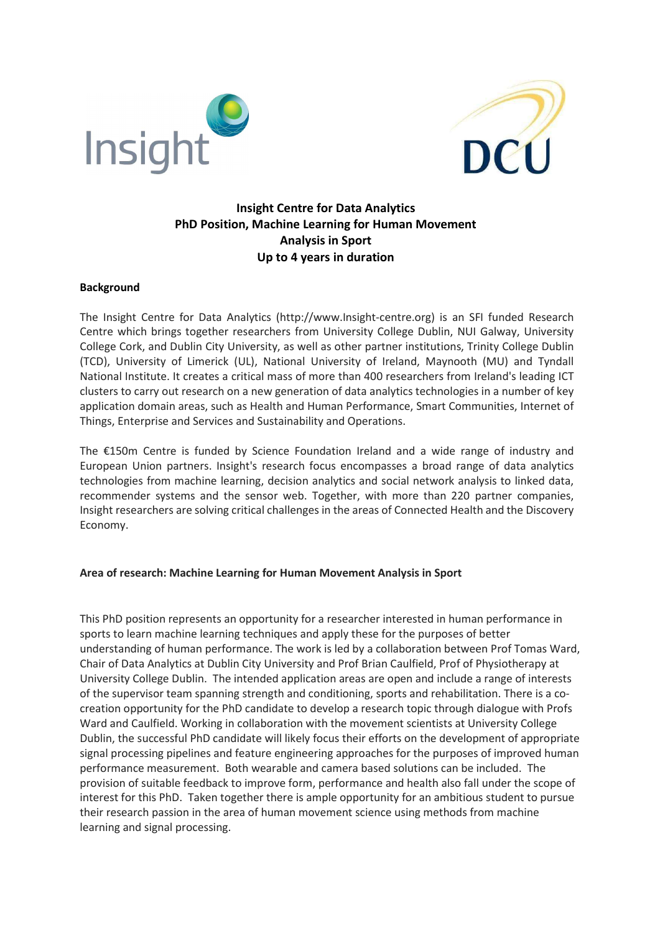



# Insight Centre for Data Analytics PhD Position, Machine Learning for Human Movement Analysis in Sport Up to 4 years in duration

#### Background

The Insight Centre for Data Analytics (http://www.Insight-centre.org) is an SFI funded Research Centre which brings together researchers from University College Dublin, NUI Galway, University College Cork, and Dublin City University, as well as other partner institutions, Trinity College Dublin (TCD), University of Limerick (UL), National University of Ireland, Maynooth (MU) and Tyndall National Institute. It creates a critical mass of more than 400 researchers from Ireland's leading ICT clusters to carry out research on a new generation of data analytics technologies in a number of key application domain areas, such as Health and Human Performance, Smart Communities, Internet of Things, Enterprise and Services and Sustainability and Operations.

The €150m Centre is funded by Science Foundation Ireland and a wide range of industry and European Union partners. Insight's research focus encompasses a broad range of data analytics technologies from machine learning, decision analytics and social network analysis to linked data, recommender systems and the sensor web. Together, with more than 220 partner companies, Insight researchers are solving critical challenges in the areas of Connected Health and the Discovery Economy.

### Area of research: Machine Learning for Human Movement Analysis in Sport

This PhD position represents an opportunity for a researcher interested in human performance in sports to learn machine learning techniques and apply these for the purposes of better understanding of human performance. The work is led by a collaboration between Prof Tomas Ward, Chair of Data Analytics at Dublin City University and Prof Brian Caulfield, Prof of Physiotherapy at University College Dublin. The intended application areas are open and include a range of interests of the supervisor team spanning strength and conditioning, sports and rehabilitation. There is a cocreation opportunity for the PhD candidate to develop a research topic through dialogue with Profs Ward and Caulfield. Working in collaboration with the movement scientists at University College Dublin, the successful PhD candidate will likely focus their efforts on the development of appropriate signal processing pipelines and feature engineering approaches for the purposes of improved human performance measurement. Both wearable and camera based solutions can be included. The provision of suitable feedback to improve form, performance and health also fall under the scope of interest for this PhD. Taken together there is ample opportunity for an ambitious student to pursue their research passion in the area of human movement science using methods from machine learning and signal processing.